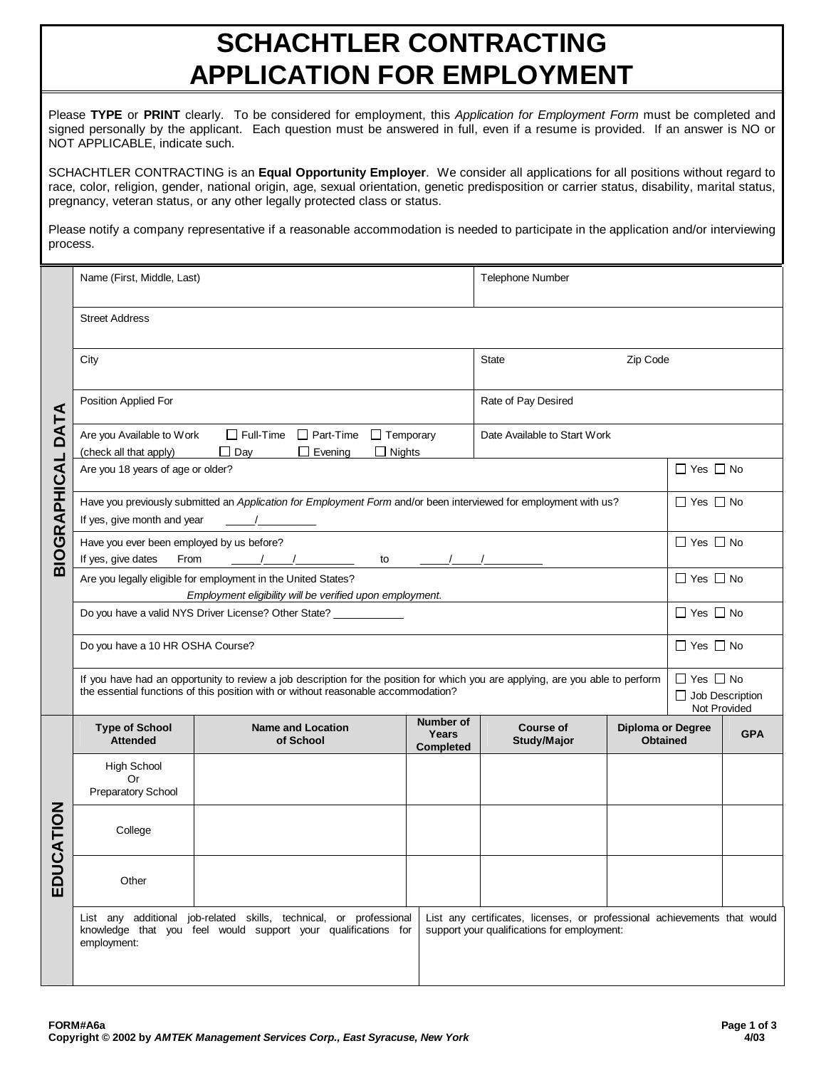## **SCHACHTLER CONTRACTING APPLICATION FOR EMPLOYMENT**

Please **TYPE** or **PRINT** clearly. To be considered for employment, this *Application for Employment Form* must be completed and signed personally by the applicant. Each question must be answered in full, even if a resume is provided. If an answer is NO or NOT APPLICABLE, indicate such.

SCHACHTLER CONTRACTING is an **Equal Opportunity Employer**. We consider all applications for all positions without regard to race, color, religion, gender, national origin, age, sexual orientation, genetic predisposition or carrier status, disability, marital status, pregnancy, veteran status, or any other legally protected class or status.

Please notify a company representative if a reasonable accommodation is needed to participate in the application and/or interviewing process.

|                     | Telephone Number<br>Name (First, Middle, Last)                                                                                                                                                                        |                                                                                                                                     |                                        |                                                                                                                         |                                                                |                      |                      |  |  |
|---------------------|-----------------------------------------------------------------------------------------------------------------------------------------------------------------------------------------------------------------------|-------------------------------------------------------------------------------------------------------------------------------------|----------------------------------------|-------------------------------------------------------------------------------------------------------------------------|----------------------------------------------------------------|----------------------|----------------------|--|--|
|                     | <b>Street Address</b>                                                                                                                                                                                                 |                                                                                                                                     |                                        |                                                                                                                         |                                                                |                      |                      |  |  |
|                     | City                                                                                                                                                                                                                  |                                                                                                                                     |                                        | <b>State</b>                                                                                                            | Zip Code                                                       |                      |                      |  |  |
|                     | Position Applied For                                                                                                                                                                                                  |                                                                                                                                     |                                        | Rate of Pay Desired                                                                                                     |                                                                |                      |                      |  |  |
| DATA                | Are you Available to Work<br>(check all that apply)                                                                                                                                                                   | $\Box$ Full-Time $\Box$ Part-Time $\Box$ Temporary<br>$\Box$ Nights<br>$\Box$ Day<br>$\Box$ Evening                                 |                                        | Date Available to Start Work                                                                                            |                                                                |                      |                      |  |  |
|                     | Are you 18 years of age or older?                                                                                                                                                                                     |                                                                                                                                     |                                        |                                                                                                                         |                                                                | $\Box$ Yes $\Box$ No |                      |  |  |
| <b>BIOGRAPHICAL</b> | If yes, give month and year                                                                                                                                                                                           | Have you previously submitted an Application for Employment Form and/or been interviewed for employment with us?                    |                                        |                                                                                                                         |                                                                | $\Box$ Yes $\Box$ No |                      |  |  |
|                     | Have you ever been employed by us before?<br>If yes, give dates<br>From<br>$\frac{1}{\sqrt{2}}$<br>to                                                                                                                 |                                                                                                                                     |                                        |                                                                                                                         |                                                                |                      | $\Box$ Yes $\Box$ No |  |  |
|                     | Are you legally eligible for employment in the United States?<br>Employment eligibility will be verified upon employment.                                                                                             |                                                                                                                                     |                                        |                                                                                                                         |                                                                |                      | $\Box$ Yes $\Box$ No |  |  |
|                     | Do you have a valid NYS Driver License? Other State? ____________                                                                                                                                                     |                                                                                                                                     |                                        |                                                                                                                         |                                                                |                      | $\Box$ Yes $\Box$ No |  |  |
|                     | Do you have a 10 HR OSHA Course?                                                                                                                                                                                      |                                                                                                                                     |                                        |                                                                                                                         |                                                                |                      | $\Box$ Yes $\Box$ No |  |  |
|                     | If you have had an opportunity to review a job description for the position for which you are applying, are you able to perform<br>the essential functions of this position with or without reasonable accommodation? |                                                                                                                                     |                                        |                                                                                                                         | $\Box$ Yes $\Box$ No<br>$\Box$ Job Description<br>Not Provided |                      |                      |  |  |
|                     | <b>Type of School</b><br><b>Attended</b>                                                                                                                                                                              | <b>Name and Location</b><br>of School                                                                                               | Number of<br>Years<br><b>Completed</b> | <b>Course of</b><br><b>Study/Major</b>                                                                                  | <b>Diploma or Degree</b><br><b>Obtained</b>                    |                      | <b>GPA</b>           |  |  |
|                     | <b>High School</b><br>Or                                                                                                                                                                                              |                                                                                                                                     |                                        |                                                                                                                         |                                                                |                      |                      |  |  |
|                     | Preparatory School                                                                                                                                                                                                    |                                                                                                                                     |                                        |                                                                                                                         |                                                                |                      |                      |  |  |
| <b>NOLLAC</b>       | College                                                                                                                                                                                                               |                                                                                                                                     |                                        |                                                                                                                         |                                                                |                      |                      |  |  |
| ED                  | Other                                                                                                                                                                                                                 |                                                                                                                                     |                                        |                                                                                                                         |                                                                |                      |                      |  |  |
|                     | employment:                                                                                                                                                                                                           | List any additional job-related skills, technical, or professional<br>knowledge that you feel would support your qualifications for |                                        | List any certificates, licenses, or professional achievements that would<br>support your qualifications for employment: |                                                                |                      |                      |  |  |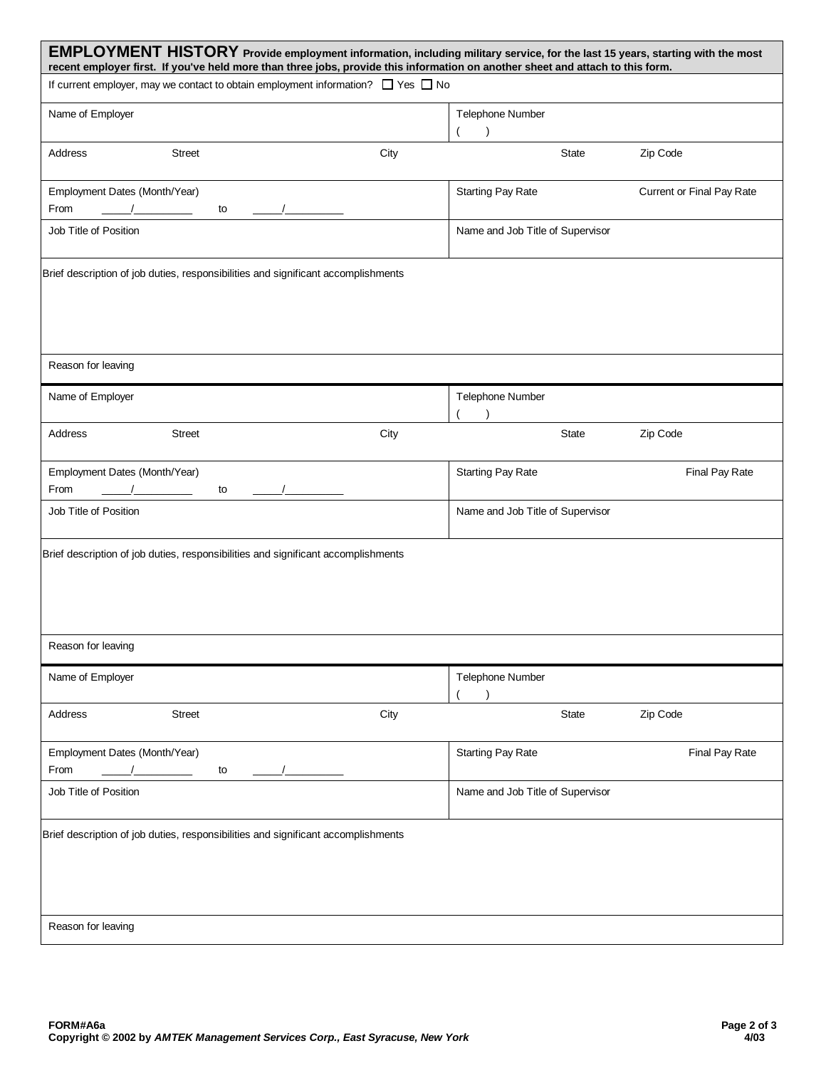| EMPLOYMENT HISTORY Provide employment information, including military service, for the last 15 years, starting with the most<br>recent employer first. If you've held more than three jobs, provide this information on another sheet and attach to this form. |      |                                  |                           |
|----------------------------------------------------------------------------------------------------------------------------------------------------------------------------------------------------------------------------------------------------------------|------|----------------------------------|---------------------------|
| If current employer, may we contact to obtain employment information? $\Box$ Yes $\Box$ No                                                                                                                                                                     |      |                                  |                           |
| Name of Employer                                                                                                                                                                                                                                               |      | Telephone Number<br>$\lambda$    |                           |
| Address<br><b>Street</b>                                                                                                                                                                                                                                       | City | State                            | Zip Code                  |
| Employment Dates (Month/Year)<br>From<br>to                                                                                                                                                                                                                    |      | <b>Starting Pay Rate</b>         | Current or Final Pay Rate |
| Job Title of Position                                                                                                                                                                                                                                          |      | Name and Job Title of Supervisor |                           |
| Brief description of job duties, responsibilities and significant accomplishments                                                                                                                                                                              |      |                                  |                           |
| Reason for leaving                                                                                                                                                                                                                                             |      |                                  |                           |
| Name of Employer                                                                                                                                                                                                                                               |      | Telephone Number                 |                           |
| <b>Street</b><br>Address                                                                                                                                                                                                                                       | City | State                            | Zip Code                  |
| Employment Dates (Month/Year)<br>From<br>to                                                                                                                                                                                                                    |      | <b>Starting Pay Rate</b>         | Final Pay Rate            |
| Job Title of Position                                                                                                                                                                                                                                          |      | Name and Job Title of Supervisor |                           |
| Brief description of job duties, responsibilities and significant accomplishments                                                                                                                                                                              |      |                                  |                           |
| Reason for leaving                                                                                                                                                                                                                                             |      |                                  |                           |
| Name of Employer                                                                                                                                                                                                                                               |      | Telephone Number                 |                           |
| <b>Street</b><br>Address                                                                                                                                                                                                                                       | City | State                            | Zip Code                  |
| Employment Dates (Month/Year)<br>From<br>to                                                                                                                                                                                                                    |      | <b>Starting Pay Rate</b>         | Final Pay Rate            |
| Job Title of Position                                                                                                                                                                                                                                          |      | Name and Job Title of Supervisor |                           |
| Brief description of job duties, responsibilities and significant accomplishments                                                                                                                                                                              |      |                                  |                           |
| Reason for leaving                                                                                                                                                                                                                                             |      |                                  |                           |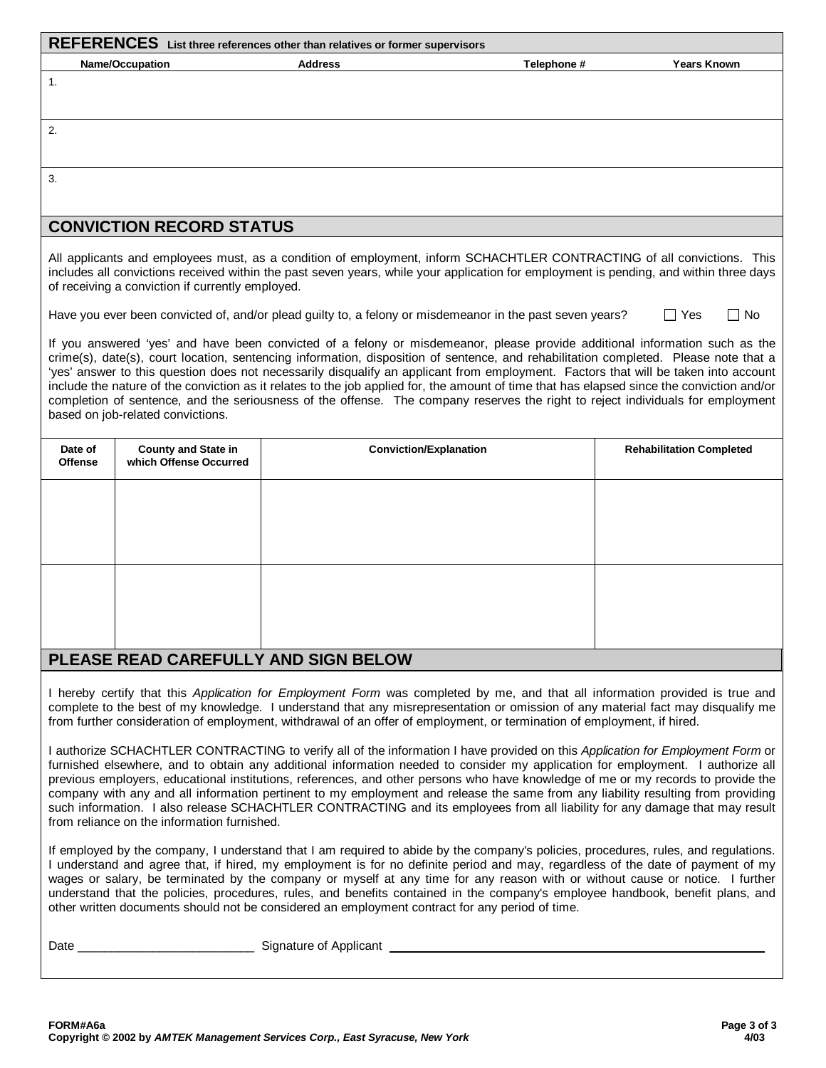|                                                                                                                                                                                                                                                                                                                                                                                                                                                                                                                                                                                                                                                                                                                                  |                                                      | REFERENCES List three references other than relatives or former supervisors                                                                                                                                                                                                                                                                                                                  |             |                                 |  |  |  |
|----------------------------------------------------------------------------------------------------------------------------------------------------------------------------------------------------------------------------------------------------------------------------------------------------------------------------------------------------------------------------------------------------------------------------------------------------------------------------------------------------------------------------------------------------------------------------------------------------------------------------------------------------------------------------------------------------------------------------------|------------------------------------------------------|----------------------------------------------------------------------------------------------------------------------------------------------------------------------------------------------------------------------------------------------------------------------------------------------------------------------------------------------------------------------------------------------|-------------|---------------------------------|--|--|--|
|                                                                                                                                                                                                                                                                                                                                                                                                                                                                                                                                                                                                                                                                                                                                  | <b>Name/Occupation</b>                               | <b>Address</b>                                                                                                                                                                                                                                                                                                                                                                               | Telephone # | <b>Years Known</b>              |  |  |  |
| 1.                                                                                                                                                                                                                                                                                                                                                                                                                                                                                                                                                                                                                                                                                                                               |                                                      |                                                                                                                                                                                                                                                                                                                                                                                              |             |                                 |  |  |  |
| 2.                                                                                                                                                                                                                                                                                                                                                                                                                                                                                                                                                                                                                                                                                                                               |                                                      |                                                                                                                                                                                                                                                                                                                                                                                              |             |                                 |  |  |  |
| 3.                                                                                                                                                                                                                                                                                                                                                                                                                                                                                                                                                                                                                                                                                                                               |                                                      |                                                                                                                                                                                                                                                                                                                                                                                              |             |                                 |  |  |  |
|                                                                                                                                                                                                                                                                                                                                                                                                                                                                                                                                                                                                                                                                                                                                  | <b>CONVICTION RECORD STATUS</b>                      |                                                                                                                                                                                                                                                                                                                                                                                              |             |                                 |  |  |  |
|                                                                                                                                                                                                                                                                                                                                                                                                                                                                                                                                                                                                                                                                                                                                  | of receiving a conviction if currently employed.     | All applicants and employees must, as a condition of employment, inform SCHACHTLER CONTRACTING of all convictions. This<br>includes all convictions received within the past seven years, while your application for employment is pending, and within three days                                                                                                                            |             |                                 |  |  |  |
|                                                                                                                                                                                                                                                                                                                                                                                                                                                                                                                                                                                                                                                                                                                                  |                                                      | Have you ever been convicted of, and/or plead guilty to, a felony or misdemeanor in the past seven years?                                                                                                                                                                                                                                                                                    |             | $\Box$ No<br>$\Box$ Yes         |  |  |  |
| If you answered 'yes' and have been convicted of a felony or misdemeanor, please provide additional information such as the<br>crime(s), date(s), court location, sentencing information, disposition of sentence, and rehabilitation completed. Please note that a<br>'yes' answer to this question does not necessarily disqualify an applicant from employment. Factors that will be taken into account<br>include the nature of the conviction as it relates to the job applied for, the amount of time that has elapsed since the conviction and/or<br>completion of sentence, and the seriousness of the offense. The company reserves the right to reject individuals for employment<br>based on job-related convictions. |                                                      |                                                                                                                                                                                                                                                                                                                                                                                              |             |                                 |  |  |  |
| Date of<br><b>Offense</b>                                                                                                                                                                                                                                                                                                                                                                                                                                                                                                                                                                                                                                                                                                        | <b>County and State in</b><br>which Offense Occurred | <b>Conviction/Explanation</b>                                                                                                                                                                                                                                                                                                                                                                |             | <b>Rehabilitation Completed</b> |  |  |  |
|                                                                                                                                                                                                                                                                                                                                                                                                                                                                                                                                                                                                                                                                                                                                  |                                                      |                                                                                                                                                                                                                                                                                                                                                                                              |             |                                 |  |  |  |
|                                                                                                                                                                                                                                                                                                                                                                                                                                                                                                                                                                                                                                                                                                                                  |                                                      | PLEASE READ CAREFULLY AND SIGN BELOW                                                                                                                                                                                                                                                                                                                                                         |             |                                 |  |  |  |
|                                                                                                                                                                                                                                                                                                                                                                                                                                                                                                                                                                                                                                                                                                                                  |                                                      | I hereby certify that this Application for Employment Form was completed by me, and that all information provided is true and<br>complete to the best of my knowledge. I understand that any misrepresentation or omission of any material fact may disqualify me<br>from further consideration of employment, withdrawal of an offer of employment, or termination of employment, if hired. |             |                                 |  |  |  |

I authorize SCHACHTLER CONTRACTING to verify all of the information I have provided on this *Application for Employment Form* or furnished elsewhere, and to obtain any additional information needed to consider my application for employment. I authorize all previous employers, educational institutions, references, and other persons who have knowledge of me or my records to provide the company with any and all information pertinent to my employment and release the same from any liability resulting from providing such information. I also release SCHACHTLER CONTRACTING and its employees from all liability for any damage that may result from reliance on the information furnished.

If employed by the company, I understand that I am required to abide by the company's policies, procedures, rules, and regulations. I understand and agree that, if hired, my employment is for no definite period and may, regardless of the date of payment of my wages or salary, be terminated by the company or myself at any time for any reason with or without cause or notice. I further understand that the policies, procedures, rules, and benefits contained in the company's employee handbook, benefit plans, and other written documents should not be considered an employment contract for any period of time.

Date \_\_\_\_\_\_\_\_\_\_\_\_\_\_\_\_\_\_\_\_\_\_\_\_\_\_ Signature of Applicant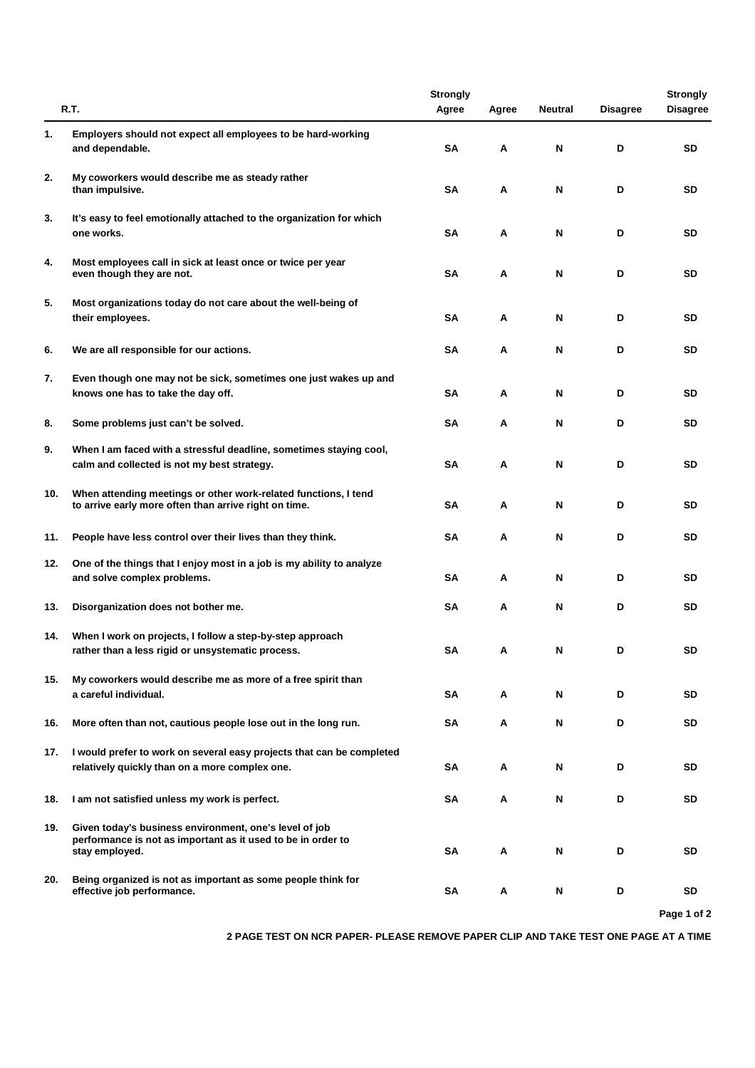|     |                                                                                                                          | <b>Strongly</b> |       |                |                 | <b>Strongly</b> |
|-----|--------------------------------------------------------------------------------------------------------------------------|-----------------|-------|----------------|-----------------|-----------------|
|     | R.T.                                                                                                                     | Agree           | Agree | <b>Neutral</b> | <b>Disagree</b> | <b>Disagree</b> |
| 1.  | Employers should not expect all employees to be hard-working                                                             |                 |       |                |                 |                 |
|     | and dependable.                                                                                                          | <b>SA</b>       | Α     | N              | D               | SD              |
| 2.  | My coworkers would describe me as steady rather                                                                          |                 |       |                |                 |                 |
|     | than impulsive.                                                                                                          | SΑ              | Α     | N              | D               | SD              |
| 3.  | It's easy to feel emotionally attached to the organization for which                                                     |                 |       |                |                 |                 |
|     | one works.                                                                                                               | SΑ              | Α     | N              | D               | SD              |
| 4.  | Most employees call in sick at least once or twice per year                                                              |                 |       |                |                 |                 |
|     | even though they are not.                                                                                                | <b>SA</b>       | Α     | N              | D               | SD              |
| 5.  | Most organizations today do not care about the well-being of                                                             |                 |       |                |                 |                 |
|     | their employees.                                                                                                         | SΑ              | Α     | N              | D               | SD              |
| 6.  | We are all responsible for our actions.                                                                                  | SΑ              | Α     | N              | D               | SD              |
| 7.  | Even though one may not be sick, sometimes one just wakes up and                                                         |                 |       |                |                 |                 |
|     | knows one has to take the day off.                                                                                       | SΑ              | Α     | N              | D               | SD              |
| 8.  | Some problems just can't be solved.                                                                                      | SΑ              | Α     | N              | D               | SD              |
|     |                                                                                                                          |                 |       |                |                 |                 |
| 9.  | When I am faced with a stressful deadline, sometimes staying cool,<br>calm and collected is not my best strategy.        | SΑ              | Α     | N              | D               | SD              |
|     |                                                                                                                          |                 |       |                |                 |                 |
| 10. | When attending meetings or other work-related functions, I tend<br>to arrive early more often than arrive right on time. | SΑ              | Α     | N              | D               | SD              |
|     |                                                                                                                          |                 |       |                |                 |                 |
| 11. | People have less control over their lives than they think.                                                               | SΑ              | Α     | N              | D               | SD              |
| 12. | One of the things that I enjoy most in a job is my ability to analyze                                                    |                 |       |                |                 |                 |
|     | and solve complex problems.                                                                                              | SΑ              | Α     | N              | D               | SD              |
| 13. | Disorganization does not bother me.                                                                                      | SΑ              | Α     | N              | D               | SD              |
| 14. | When I work on projects, I follow a step-by-step approach                                                                |                 |       |                |                 |                 |
|     | rather than a less rigid or unsystematic process.                                                                        | SΑ              | Α     | N              | D               | SD              |
| 15. | My coworkers would describe me as more of a free spirit than                                                             |                 |       |                |                 |                 |
|     | a careful individual.                                                                                                    | SΑ              | Α     | N              | D               | SD              |
| 16. | More often than not, cautious people lose out in the long run.                                                           | SА              | Α     | N              | D               | SD              |
|     |                                                                                                                          |                 |       |                |                 |                 |
| 17. | I would prefer to work on several easy projects that can be completed<br>relatively quickly than on a more complex one.  | SΑ              | А     | N              | D               | SD              |
|     |                                                                                                                          |                 |       |                |                 |                 |
| 18. | I am not satisfied unless my work is perfect.                                                                            | SΑ              | А     | N              | D               | SD              |
| 19. | Given today's business environment, one's level of job                                                                   |                 |       |                |                 |                 |
|     | performance is not as important as it used to be in order to<br>stay employed.                                           | SΑ              | А     | N              | D               | SD              |
| 20. | Being organized is not as important as some people think for                                                             |                 |       |                |                 |                 |
|     | effective job performance.                                                                                               | SΑ              | А     | N              | D               | SD              |
|     |                                                                                                                          |                 |       |                |                 | Page 1 of 2     |

**2 PAGE TEST ON NCR PAPER- PLEASE REMOVE PAPER CLIP AND TAKE TEST ONE PAGE AT A TIME**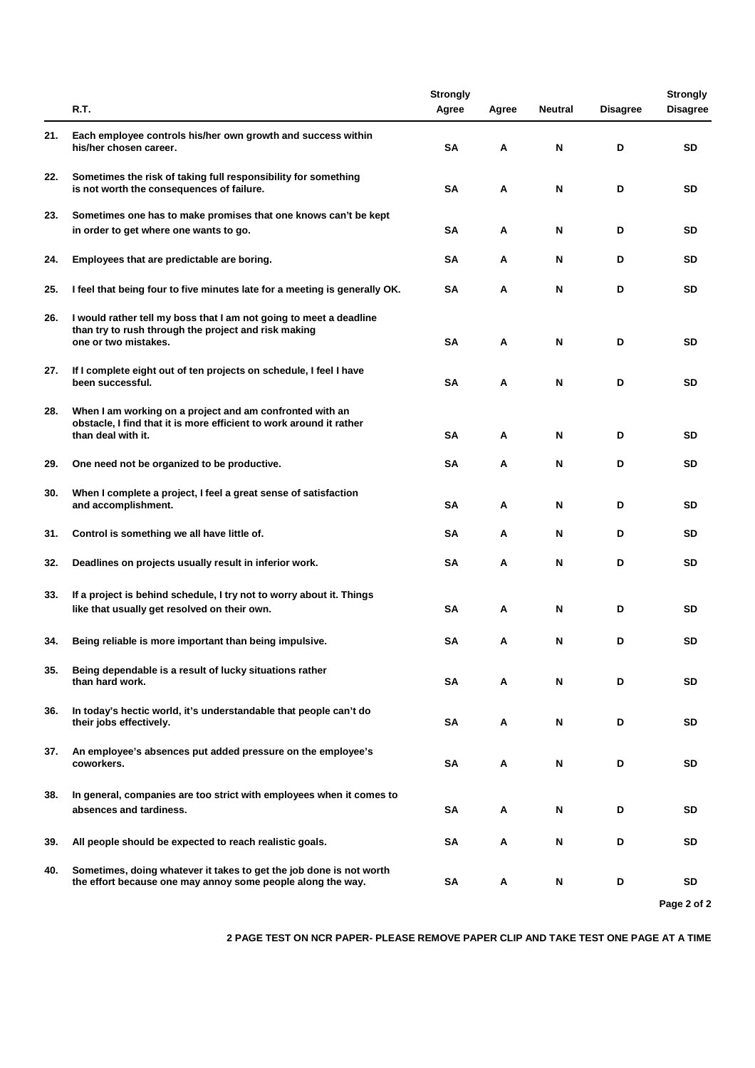|     |                                                                                                                                                       | <b>Strongly</b> |       |                |                 | <b>Strongly</b> |
|-----|-------------------------------------------------------------------------------------------------------------------------------------------------------|-----------------|-------|----------------|-----------------|-----------------|
|     | R.T.                                                                                                                                                  | Agree           | Agree | <b>Neutral</b> | <b>Disagree</b> | <b>Disagree</b> |
| 21. | Each employee controls his/her own growth and success within<br>his/her chosen career.                                                                | SA              | А     | N              | D               | SD              |
| 22. | Sometimes the risk of taking full responsibility for something<br>is not worth the consequences of failure.                                           | <b>SA</b>       | А     | N              | D               | <b>SD</b>       |
| 23. | Sometimes one has to make promises that one knows can't be kept<br>in order to get where one wants to go.                                             | SA              | А     | N              | D               | SD              |
| 24. | Employees that are predictable are boring.                                                                                                            | SA              | Α     | N              | D               | SD              |
| 25. | I feel that being four to five minutes late for a meeting is generally OK.                                                                            | <b>SA</b>       | Α     | N              | D               | <b>SD</b>       |
| 26. | I would rather tell my boss that I am not going to meet a deadline<br>than try to rush through the project and risk making<br>one or two mistakes.    | SA              | А     | N              | D               | SD              |
| 27. | If I complete eight out of ten projects on schedule, I feel I have<br>been successful.                                                                | <b>SA</b>       | A     | N              | D               | <b>SD</b>       |
| 28. | When I am working on a project and am confronted with an<br>obstacle, I find that it is more efficient to work around it rather<br>than deal with it. | <b>SA</b>       | А     | N              | D               | SD              |
| 29. | One need not be organized to be productive.                                                                                                           | <b>SA</b>       | A     | N              | D               | <b>SD</b>       |
| 30. | When I complete a project, I feel a great sense of satisfaction<br>and accomplishment.                                                                | SA              | А     | N              | D               | SD              |
| 31. | Control is something we all have little of.                                                                                                           | SA              | А     | N              | D               | SD              |
| 32. | Deadlines on projects usually result in inferior work.                                                                                                | SA              | А     | N              | D               | SD              |
| 33. | If a project is behind schedule, I try not to worry about it. Things<br>like that usually get resolved on their own.                                  | SA              | Α     | N              | D               | <b>SD</b>       |
| 34. | Being reliable is more important than being impulsive.                                                                                                | SА              | A     | N              | D               | <b>SD</b>       |
| 35. | Being dependable is a result of lucky situations rather<br>than hard work.                                                                            | SA              | А     | N              | D               | SD              |
| 36. | In today's hectic world, it's understandable that people can't do<br>their jobs effectively.                                                          | SA              | Α     | N              | D               | SD              |
| 37. | An employee's absences put added pressure on the employee's<br>coworkers.                                                                             | SA              | Α     | N              | D               | SD              |
| 38. | In general, companies are too strict with employees when it comes to<br>absences and tardiness.                                                       | SΑ              | Α     | N              | D               | SD              |
| 39. | All people should be expected to reach realistic goals.                                                                                               | SА              | А     | N              | D               | SD              |
| 40. | Sometimes, doing whatever it takes to get the job done is not worth<br>the effort because one may annoy some people along the way.                    | SΑ              | Α     | N              | D               | SD              |
|     |                                                                                                                                                       |                 |       |                |                 | Page 2 of 2     |

**2 PAGE TEST ON NCR PAPER- PLEASE REMOVE PAPER CLIP AND TAKE TEST ONE PAGE AT A TIME**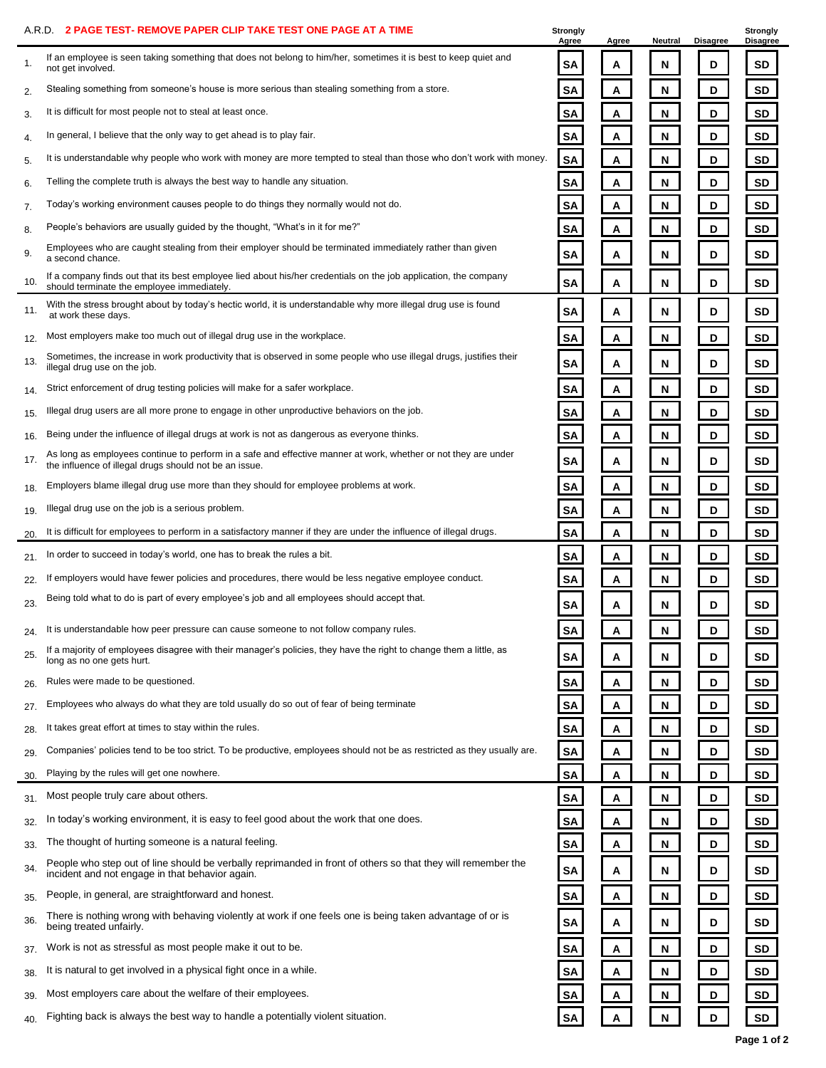|     | 2 PAGE TEST- REMOVE PAPER CLIP TAKE TEST ONE PAGE AT A TIME<br>A.R.D.                                                                                                    | Strongly<br>Agree | Agree | Neutral   | <b>Disagree</b> | Strongly<br><b>Disagree</b> |
|-----|--------------------------------------------------------------------------------------------------------------------------------------------------------------------------|-------------------|-------|-----------|-----------------|-----------------------------|
| 1.  | If an employee is seen taking something that does not belong to him/her, sometimes it is best to keep quiet and<br>not get involved.                                     | SΑ                | Α     | N         | D               | SD                          |
| 2.  | Stealing something from someone's house is more serious than stealing something from a store.                                                                            | SA                | Α     | N         | D               | <b>SD</b>                   |
| 3.  | It is difficult for most people not to steal at least once.                                                                                                              | <b>SA</b>         | Α     | ${\sf N}$ | D               | <b>SD</b>                   |
| 4.  | In general, I believe that the only way to get ahead is to play fair.                                                                                                    | <b>SA</b>         | Α     | N         | D               | <b>SD</b>                   |
| 5.  | It is understandable why people who work with money are more tempted to steal than those who don't work with money.                                                      | <b>SA</b>         | Α     | ${\sf N}$ | D               | <b>SD</b>                   |
| 6.  | Telling the complete truth is always the best way to handle any situation.                                                                                               | <b>SA</b>         | Α     | N         | D               | SD                          |
| 7.  | Today's working environment causes people to do things they normally would not do.                                                                                       | <b>SA</b>         | Α     | N         | D               | <b>SD</b>                   |
| 8.  | People's behaviors are usually guided by the thought, "What's in it for me?"                                                                                             | SA                | Α     | ${\sf N}$ | D               | SD                          |
| 9.  | Employees who are caught stealing from their employer should be terminated immediately rather than given<br>a second chance.                                             | SA                | Α     | N         | D               | SD                          |
| 10. | If a company finds out that its best employee lied about his/her credentials on the job application, the company<br>should terminate the employee immediately.           | <b>SA</b>         | Α     | N         | D               | <b>SD</b>                   |
| 11. | With the stress brought about by today's hectic world, it is understandable why more illegal drug use is found<br>at work these days.                                    | SA                | Α     | N         | D               | SD                          |
| 12. | Most employers make too much out of illegal drug use in the workplace.                                                                                                   | <b>SA</b>         | Α     | Ν         | D               | <b>SD</b>                   |
| 13. | Sometimes, the increase in work productivity that is observed in some people who use illegal drugs, justifies their<br>illegal drug use on the job.                      | SA                | Α     | N         | D               | <b>SD</b>                   |
| 14. | Strict enforcement of drug testing policies will make for a safer workplace.                                                                                             | SA                | Α     | N         | D               | SD                          |
| 15. | Illegal drug users are all more prone to engage in other unproductive behaviors on the job.                                                                              | <b>SA</b>         | Α     | N         | D               | <b>SD</b>                   |
| 16. | Being under the influence of illegal drugs at work is not as dangerous as everyone thinks.                                                                               | <b>SA</b>         | Α     | N         | D               | <b>SD</b>                   |
| 17. | As long as employees continue to perform in a safe and effective manner at work, whether or not they are under<br>the influence of illegal drugs should not be an issue. | SA                | Α     | N         | D               | <b>SD</b>                   |
| 18. | Employers blame illegal drug use more than they should for employee problems at work.                                                                                    | SA                | Α     | N         | D               | <b>SD</b>                   |
| 19. | Illegal drug use on the job is a serious problem.                                                                                                                        | <b>SA</b>         | Α     | ${\sf N}$ | D               | <b>SD</b>                   |
| 20. | It is difficult for employees to perform in a satisfactory manner if they are under the influence of illegal drugs.                                                      | <b>SA</b>         | A     | N         | D               | <b>SD</b>                   |
| 21. | In order to succeed in today's world, one has to break the rules a bit.                                                                                                  | SA                | Α     | Ν         | D               | <b>SD</b>                   |
| 22. | If employers would have fewer policies and procedures, there would be less negative employee conduct.                                                                    | SA                | Α     | N         | D               | SD                          |
| 23. | Being told what to do is part of every employee's job and all employees should accept that.                                                                              | SA                | А     | N         | D               | SD                          |
|     | It is understandable how peer pressure can cause someone to not follow company rules                                                                                     | <u>эд</u>         | A     | 'N        | D               | <b>SD</b>                   |
| 25. | If a majority of employees disagree with their manager's policies, they have the right to change them a little, as<br>long as no one gets hurt.                          | SΑ                | Α     | N         | D               | SD                          |
| 26. | Rules were made to be questioned.                                                                                                                                        | SA                | A     | N         | D               | SD                          |
| 27. | Employees who always do what they are told usually do so out of fear of being terminate                                                                                  | <b>SA</b>         | A     | N         | D               | SD                          |
| 28. | It takes great effort at times to stay within the rules.                                                                                                                 | SA                | Α     | N         | D               | SD                          |
| 29. | Companies' policies tend to be too strict. To be productive, employees should not be as restricted as they usually are.                                                  | <b>SA</b>         | Α     | N         | D               | SD                          |
| 30. | Playing by the rules will get one nowhere.                                                                                                                               | <b>SA</b>         | Α     | N         | D               | SD                          |
| 31. | Most people truly care about others.                                                                                                                                     | SΑ                | Α     | N         | D               | SD                          |
| 32. | In today's working environment, it is easy to feel good about the work that one does.                                                                                    | <b>SA</b>         | A     | N         | D               | SD                          |
| 33. | The thought of hurting someone is a natural feeling.                                                                                                                     | SA                | Α     | N         | D               | SD                          |
| 34. | People who step out of line should be verbally reprimanded in front of others so that they will remember the<br>incident and not engage in that behavior again.          | SA                | Α     | N         | D               | SD                          |
| 35. | People, in general, are straightforward and honest.                                                                                                                      | <b>SA</b>         | Α     | N         | D               | SD                          |
| 36. | There is nothing wrong with behaving violently at work if one feels one is being taken advantage of or is<br>being treated unfairly.                                     | SA                | Α     | N         | D               | SD                          |
| 37. | Work is not as stressful as most people make it out to be.                                                                                                               | SA                | A     | N         | D               | SD                          |
| 38. | It is natural to get involved in a physical fight once in a while.                                                                                                       | SA                | Α     | N         | D               | SD                          |
| 39. | Most employers care about the welfare of their employees.                                                                                                                | <b>SA</b>         | A     | N         | D               | <b>SD</b>                   |
| 40. | Fighting back is always the best way to handle a potentially violent situation.                                                                                          | <b>SA</b>         | A     | N         | D               | SD                          |